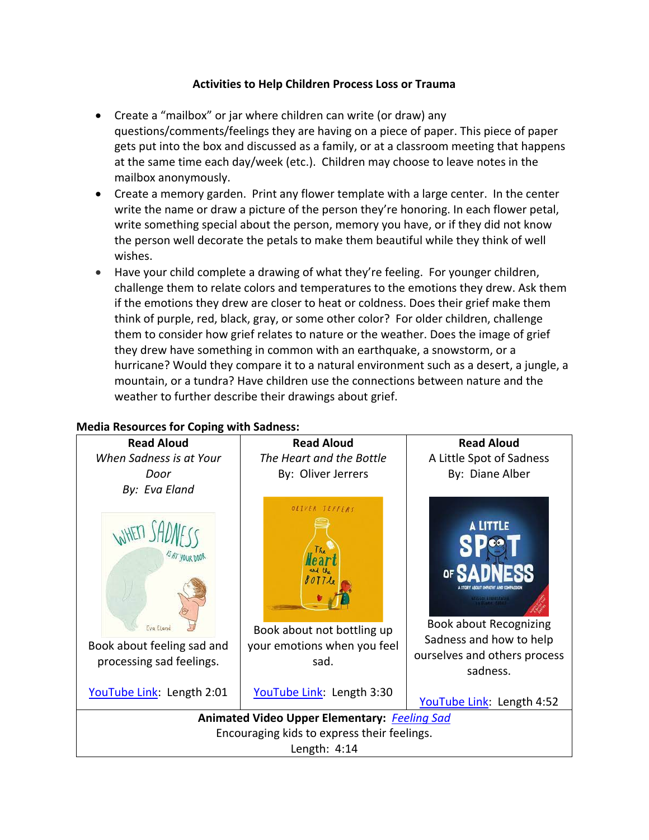## **Activities to Help Children Process Loss or Trauma**

- Create a "mailbox" or jar where children can write (or draw) any questions/comments/feelings they are having on a piece of paper. This piece of paper gets put into the box and discussed as a family, or at a classroom meeting that happens at the same time each day/week (etc.). Children may choose to leave notes in the mailbox anonymously.
- Create a memory garden. Print any flower template with a large center. In the center write the name or draw a picture of the person they're honoring. In each flower petal, write something special about the person, memory you have, or if they did not know the person well decorate the petals to make them beautiful while they think of well wishes.
- Have your child complete a drawing of what they're feeling. For younger children, challenge them to relate colors and temperatures to the emotions they drew. Ask them if the emotions they drew are closer to heat or coldness. Does their grief make them think of purple, red, black, gray, or some other color? For older children, challenge them to consider how grief relates to nature or the weather. Does the image of grief they drew have something in common with an earthquake, a snowstorm, or a hurricane? Would they compare it to a natural environment such as a desert, a jungle, a mountain, or a tundra? Have children use the connections between nature and the weather to further describe their drawings about grief.

## **Media Resources for Coping with Sadness:**